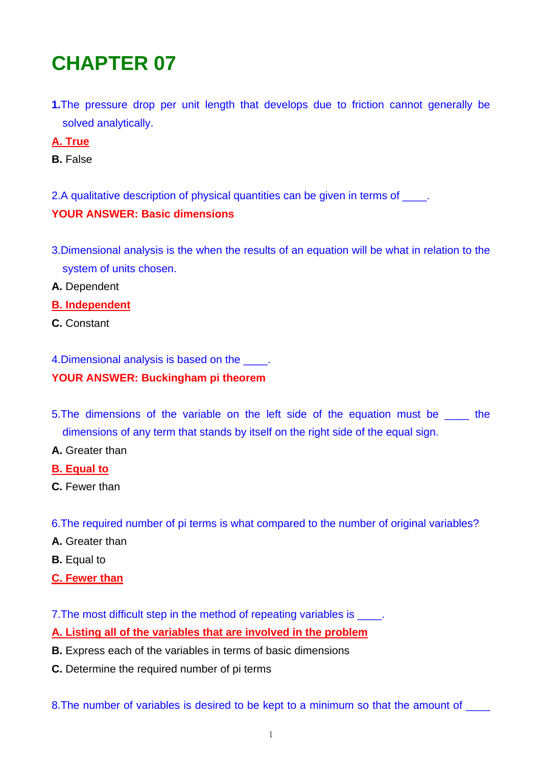# **CHAPTER 07**

**1.**The pressure drop per unit length that develops due to friction cannot generally be solved analytically.

## **A. True**

- **B.** False
- 2.A qualitative description of physical quantities can be given in terms of  $\qquad$ .

## **YOUR ANSWER: Basic dimensions**

- 3.Dimensional analysis is the when the results of an equation will be what in relation to the system of units chosen.
- **A.** Dependent
- **B. Independent**
- **C.** Constant

4.Dimensional analysis is based on the \_\_\_\_.

## **YOUR ANSWER: Buckingham pi theorem**

- 5. The dimensions of the variable on the left side of the equation must be the dimensions of any term that stands by itself on the right side of the equal sign.
- **A.** Greater than
- **B. Equal to**
- **C.** Fewer than
- 6.The required number of pi terms is what compared to the number of original variables?
- **A.** Greater than
- **B.** Equal to
- **C. Fewer than**

7. The most difficult step in the method of repeating variables is \_\_\_\_\_.

## **A. Listing all of the variables that are involved in the problem**

- **B.** Express each of the variables in terms of basic dimensions
- **C.** Determine the required number of pi terms

8. The number of variables is desired to be kept to a minimum so that the amount of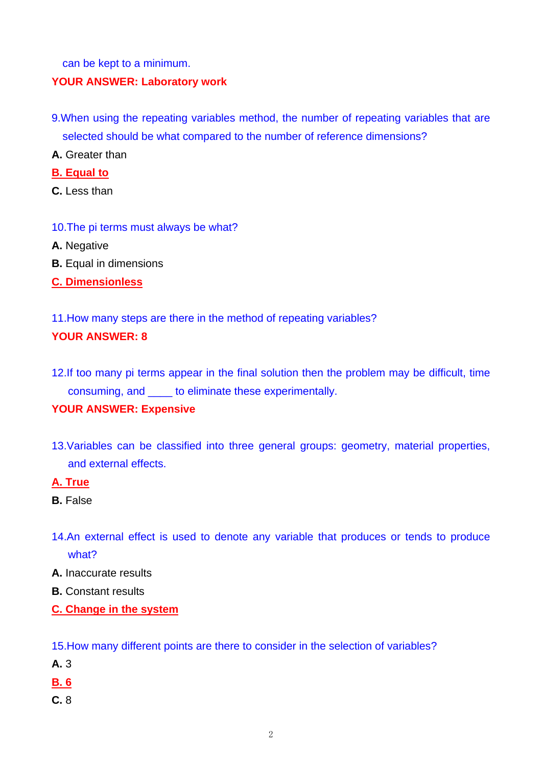can be kept to a minimum.

#### **YOUR ANSWER: Laboratory work**

- 9.When using the repeating variables method, the number of repeating variables that are selected should be what compared to the number of reference dimensions?
- **A.** Greater than
- **B. Equal to**
- **C.** Less than
- 10.The pi terms must always be what?
- **A.** Negative
- **B.** Equal in dimensions
- **C. Dimensionless**
- 11.How many steps are there in the method of repeating variables?

## **YOUR ANSWER: 8**

12.If too many pi terms appear in the final solution then the problem may be difficult, time consuming, and \_\_\_\_ to eliminate these experimentally.

## **YOUR ANSWER: Expensive**

13.Variables can be classified into three general groups: geometry, material properties, and external effects.

## **A. True**

- **B.** False
- 14.An external effect is used to denote any variable that produces or tends to produce what?
- **A.** Inaccurate results
- **B.** Constant results
- **C. Change in the system**

15.How many different points are there to consider in the selection of variables?

- **A.** 3
- **B. 6**
- **C.** 8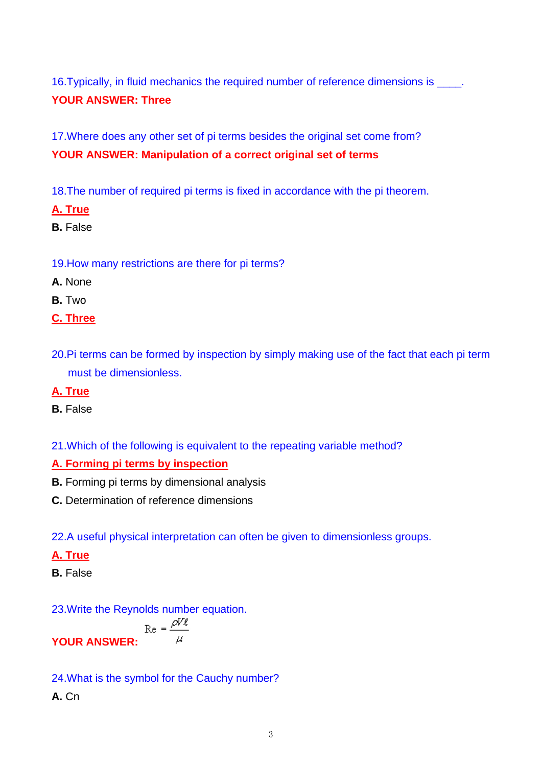16. Typically, in fluid mechanics the required number of reference dimensions is **YOUR ANSWER: Three** 

17.Where does any other set of pi terms besides the original set come from? **YOUR ANSWER: Manipulation of a correct original set of terms** 

18.The number of required pi terms is fixed in accordance with the pi theorem.

- **A. True**
- **B.** False

19.How many restrictions are there for pi terms?

- **A.** None
- **B.** Two
- **C. Three**
- 20.Pi terms can be formed by inspection by simply making use of the fact that each pi term must be dimensionless.
- **A. True**
- **B.** False
- 21.Which of the following is equivalent to the repeating variable method?

#### **A. Forming pi terms by inspection**

- **B.** Forming pi terms by dimensional analysis
- **C.** Determination of reference dimensions

22.A useful physical interpretation can often be given to dimensionless groups.

## **A. True**

**B.** False

23.Write the Reynolds number equation.

$$
\text{R}e = \frac{\rho V \ell}{\mu}
$$

24.What is the symbol for the Cauchy number?

**A.** Cn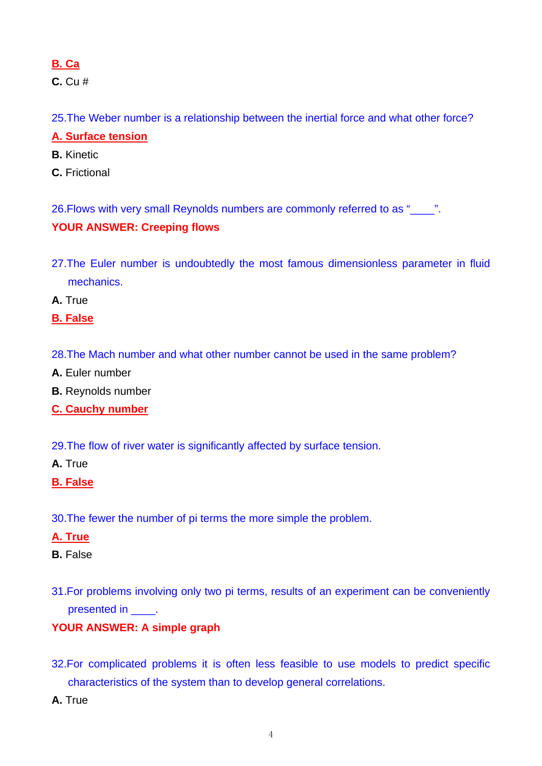# **B. Ca**

**C.** Cu #

25.The Weber number is a relationship between the inertial force and what other force?

# **A. Surface tension**

- **B.** Kinetic
- **C.** Frictional

26.Flows with very small Reynolds numbers are commonly referred to as "\_\_\_\_".

# **YOUR ANSWER: Creeping flows**

27.The Euler number is undoubtedly the most famous dimensionless parameter in fluid mechanics.

**A.** True

# **B. False**

- 28.The Mach number and what other number cannot be used in the same problem?
- **A.** Euler number
- **B.** Reynolds number
- **C. Cauchy number**
- 29.The flow of river water is significantly affected by surface tension.
- **A.** True

## **B. False**

30.The fewer the number of pi terms the more simple the problem.

## **A. True**

## **B.** False

31.For problems involving only two pi terms, results of an experiment can be conveniently presented in \_\_\_\_\_\_.

## **YOUR ANSWER: A simple graph**

- 32.For complicated problems it is often less feasible to use models to predict specific characteristics of the system than to develop general correlations.
- **A.** True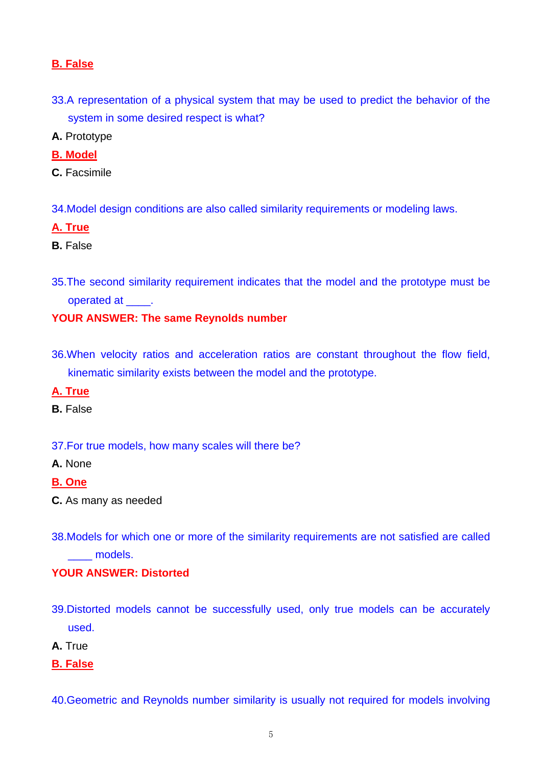## **B. False**

- 33.A representation of a physical system that may be used to predict the behavior of the system in some desired respect is what?
- **A.** Prototype
- **B. Model**
- **C.** Facsimile
- 34.Model design conditions are also called similarity requirements or modeling laws.

#### **A. True**

- **B.** False
- 35.The second similarity requirement indicates that the model and the prototype must be operated at  $\qquad$ .

#### **YOUR ANSWER: The same Reynolds number**

36.When velocity ratios and acceleration ratios are constant throughout the flow field, kinematic similarity exists between the model and the prototype.

#### **A. True**

- **B.** False
- 37.For true models, how many scales will there be?
- **A.** None
- **B. One**
- **C.** As many as needed
- 38.Models for which one or more of the similarity requirements are not satisfied are called models.

#### **YOUR ANSWER: Distorted**

- 39.Distorted models cannot be successfully used, only true models can be accurately used.
- **A.** True
- **B. False**
- 40.Geometric and Reynolds number similarity is usually not required for models involving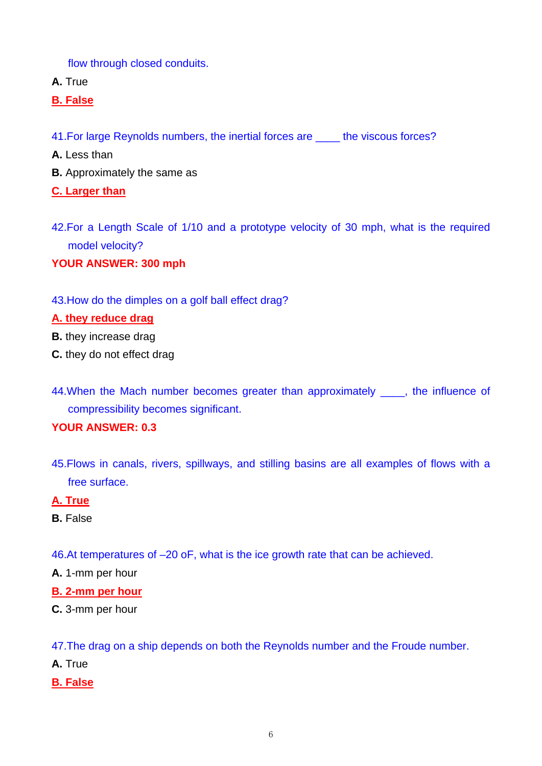flow through closed conduits.

- **A.** True
- **B. False**
- 41. For large Reynolds numbers, the inertial forces are the viscous forces?
- **A.** Less than
- **B.** Approximately the same as
- **C. Larger than**
- 42.For a Length Scale of 1/10 and a prototype velocity of 30 mph, what is the required model velocity?
- **YOUR ANSWER: 300 mph**
- 43.How do the dimples on a golf ball effect drag?

#### **A. they reduce drag**

- **B.** they increase drag
- **C.** they do not effect drag
- 44. When the Mach number becomes greater than approximately \_\_\_\_, the influence of compressibility becomes significant.

## **YOUR ANSWER: 0.3**

45.Flows in canals, rivers, spillways, and stilling basins are all examples of flows with a free surface.

## **A. True**

- **B.** False
- 46.At temperatures of –20 oF, what is the ice growth rate that can be achieved.
- **A.** 1-mm per hour
- **B. 2-mm per hour**
- **C.** 3-mm per hour

47.The drag on a ship depends on both the Reynolds number and the Froude number.

- **A.** True
- **B. False**